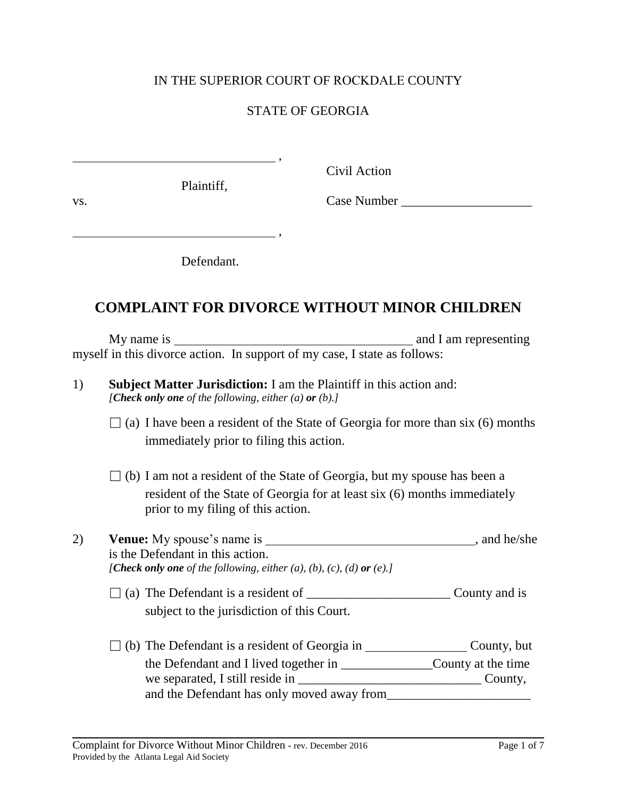## IN THE SUPERIOR COURT OF ROCKDALE COUNTY

## STATE OF GEORGIA

,

Plaintiff,

Civil Action

vs.

Case Number \_\_\_\_\_\_\_\_\_\_\_\_\_\_\_\_\_\_\_\_

Defendant.

 $\frac{1}{\sqrt{1-\frac{1}{2}}}\frac{1}{\sqrt{1-\frac{1}{2}}}\frac{1}{\sqrt{1-\frac{1}{2}}}\frac{1}{\sqrt{1-\frac{1}{2}}}\frac{1}{\sqrt{1-\frac{1}{2}}}\frac{1}{\sqrt{1-\frac{1}{2}}}\frac{1}{\sqrt{1-\frac{1}{2}}}\frac{1}{\sqrt{1-\frac{1}{2}}}\frac{1}{\sqrt{1-\frac{1}{2}}}\frac{1}{\sqrt{1-\frac{1}{2}}}\frac{1}{\sqrt{1-\frac{1}{2}}}\frac{1}{\sqrt{1-\frac{1}{2}}}\frac{1}{\sqrt{1-\frac{1}{2}}}\frac{1}{\sqrt{1-\frac{$ 

## **COMPLAINT FOR DIVORCE WITHOUT MINOR CHILDREN**

My name is and I am representing myself in this divorce action. In support of my case, I state as follows:

| 1) | <b>Subject Matter Jurisdiction:</b> I am the Plaintiff in this action and: |
|----|----------------------------------------------------------------------------|
|    | [Check only one of the following, either (a) or (b).]                      |

- $\Box$  (a) I have been a resident of the State of Georgia for more than six (6) months immediately prior to filing this action.
- $\Box$  (b) I am not a resident of the State of Georgia, but my spouse has been a resident of the State of Georgia for at least six (6) months immediately prior to my filing of this action.
- 2) Venue: My spouse's name is  $\frac{1}{2}$  , and he/she is the Defendant in this action. *[Check only one of the following, either (a), (b), (c), (d) or (e).]* 
	- $\Box$  (a) The Defendant is a resident of  $\Box$ subject to the jurisdiction of this Court.
	- $\Box$  (b) The Defendant is a resident of Georgia in  $\Box$  County, but the Defendant and I lived together in \_\_\_\_\_\_\_\_\_\_\_\_\_\_County at the time we separated, I still reside in \_\_\_\_\_\_\_\_\_\_\_\_\_\_\_\_\_\_\_\_\_\_\_\_\_\_\_\_ County, and the Defendant has only moved away from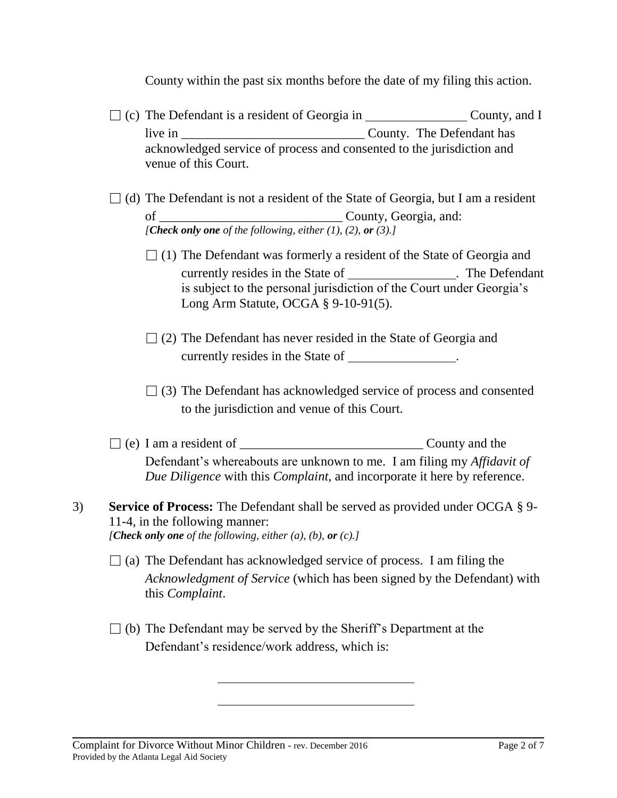County within the past six months before the date of my filing this action.

- $\Box$  (c) The Defendant is a resident of Georgia in County, and I live in \_\_\_\_\_\_\_\_\_\_\_\_\_\_\_\_\_\_\_\_\_\_\_\_\_\_\_\_ County. The Defendant has acknowledged service of process and consented to the jurisdiction and venue of this Court.
- $\Box$  (d) The Defendant is not a resident of the State of Georgia, but I am a resident of \_\_\_\_\_\_\_\_\_\_\_\_\_\_\_\_\_\_\_\_\_\_\_\_\_\_\_\_ County, Georgia, and: *[Check only one of the following, either (1), (2), or (3).]*
	- $\Box$  (1) The Defendant was formerly a resident of the State of Georgia and currently resides in the State of . The Defendant is subject to the personal jurisdiction of the Court under Georgia's Long Arm Statute, OCGA § 9-10-91(5).
	- $\Box$  (2) The Defendant has never resided in the State of Georgia and currently resides in the State of \_\_\_\_\_\_\_\_\_\_\_\_\_\_.
	- $\Box$  (3) The Defendant has acknowledged service of process and consented to the jurisdiction and venue of this Court.
- $\Box$  (e) I am a resident of  $\Box$ Defendant's whereabouts are unknown to me. I am filing my *Affidavit of Due Diligence* with this *Complaint*, and incorporate it here by reference.
- 3) **Service of Process:** The Defendant shall be served as provided under OCGA § 9- 11-4, in the following manner: *[Check only one of the following, either (a), (b), or (c).]*
	- $\Box$  (a) The Defendant has acknowledged service of process. I am filing the *Acknowledgment of Service* (which has been signed by the Defendant) with this *Complaint*.
	- $\Box$  (b) The Defendant may be served by the Sheriff's Department at the Defendant's residence/work address, which is:

Complaint for Divorce Without Minor Children - rev. December 2016 Page 2 of 7 Provided by the Atlanta Legal Aid Society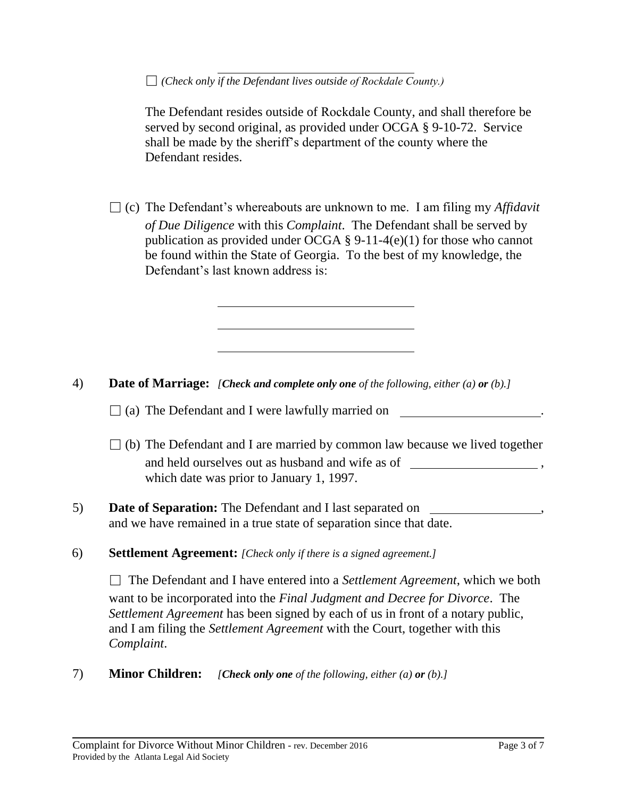□ *(Check only if the Defendant lives outside of Rockdale County.)*

The Defendant resides outside of Rockdale County, and shall therefore be served by second original, as provided under OCGA § 9-10-72. Service shall be made by the sheriff's department of the county where the Defendant resides.

 $\Box$  (c) The Defendant's whereabouts are unknown to me. I am filing my *Affidavit of Due Diligence* with this *Complaint*. The Defendant shall be served by publication as provided under OCGA  $\S$  9-11-4(e)(1) for those who cannot be found within the State of Georgia. To the best of my knowledge, the Defendant's last known address is:

- 4) **Date of Marriage:** *[Check and complete only one of the following, either (a) or (b).]*
	- $\Box$  (a) The Defendant and I were lawfully married on  $\Box$
	- $\Box$  (b) The Defendant and I are married by common law because we lived together and held ourselves out as husband and wife as of  $\overline{\phantom{a}}$ , which date was prior to January 1, 1997.
- 5) **Date of Separation:** The Defendant and I last separated on , and we have remained in a true state of separation since that date.
- 6) **Settlement Agreement:** *[Check only if there is a signed agreement.]*

□ The Defendant and I have entered into a *Settlement Agreement*, which we both want to be incorporated into the *Final Judgment and Decree for Divorce*. The *Settlement Agreement* has been signed by each of us in front of a notary public, and I am filing the *Settlement Agreement* with the Court, together with this *Complaint*.

7) **Minor Children:** *[Check only one of the following, either (a) or (b).]*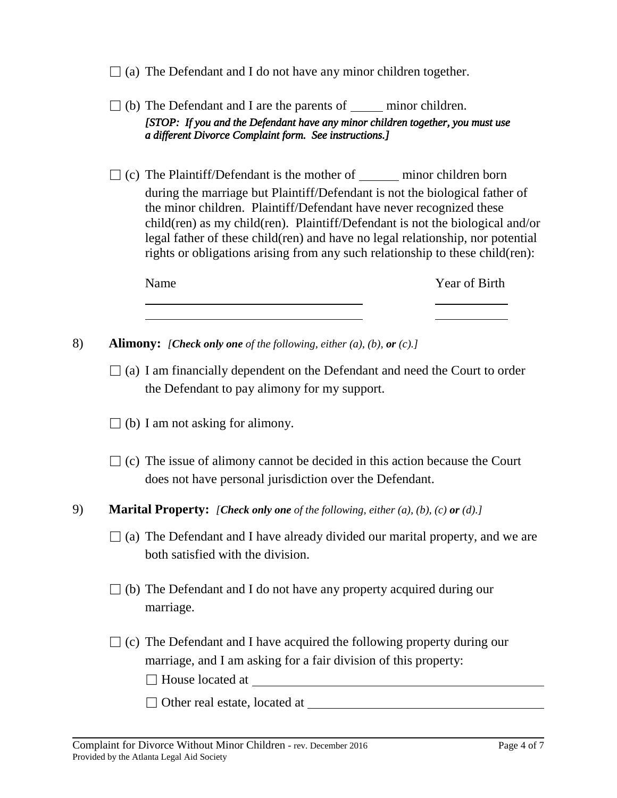- $\Box$  (a) The Defendant and I do not have any minor children together.
- $\Box$  (b) The Defendant and I are the parents of minor children. *[STOP: If you and the Defendant have any minor children together, you must use a different Divorce Complaint form. See instructions.]*
- $\Box$  (c) The Plaintiff/Defendant is the mother of <u>minor children born</u> during the marriage but Plaintiff/Defendant is not the biological father of the minor children. Plaintiff/Defendant have never recognized these child(ren) as my child(ren). Plaintiff/Defendant is not the biological and/or legal father of these child(ren) and have no legal relationship, nor potential rights or obligations arising from any such relationship to these child(ren):

| Name | Year of Birth |
|------|---------------|
|      |               |

- 8) **Alimony:** *[Check only one of the following, either (a), (b), or (c).]*
	- $\Box$  (a) I am financially dependent on the Defendant and need the Court to order the Defendant to pay alimony for my support.
	- $\Box$  (b) I am not asking for alimony.
	- $\Box$  (c) The issue of alimony cannot be decided in this action because the Court does not have personal jurisdiction over the Defendant.
- 9) **Marital Property:** *[Check only one of the following, either (a), (b), (c) or (d).]*
	- $\Box$  (a) The Defendant and I have already divided our marital property, and we are both satisfied with the division.
	- $\Box$  (b) The Defendant and I do not have any property acquired during our marriage.
	- $\Box$  (c) The Defendant and I have acquired the following property during our marriage, and I am asking for a fair division of this property:
		- □ House located at
		- □ Other real estate, located at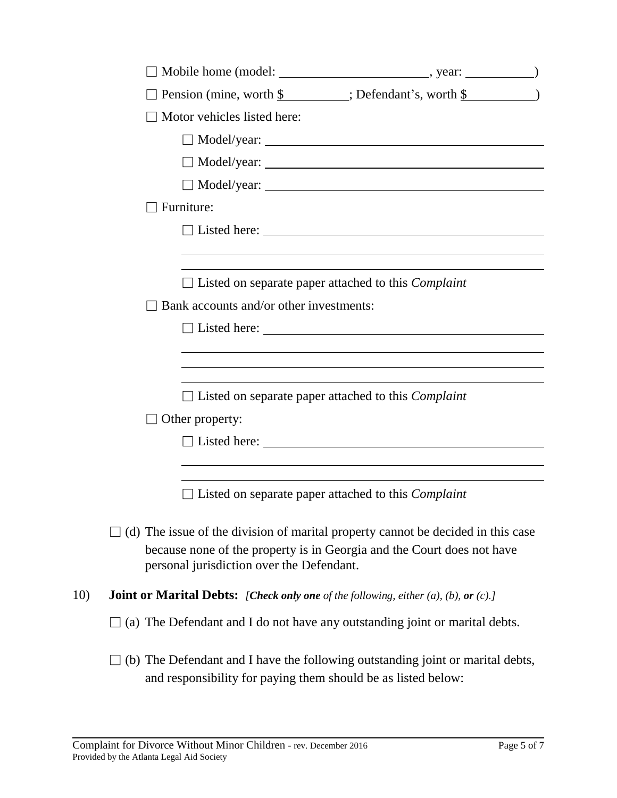|     | $\Box$ Pension (mine, worth $\frac{1}{2}$ : Defendant's, worth $\frac{1}{2}$ )                                                                                                                                                      |
|-----|-------------------------------------------------------------------------------------------------------------------------------------------------------------------------------------------------------------------------------------|
|     | $\Box$ Motor vehicles listed here:                                                                                                                                                                                                  |
|     | $\Box$ Model/year: $\Box$                                                                                                                                                                                                           |
|     |                                                                                                                                                                                                                                     |
|     |                                                                                                                                                                                                                                     |
|     | Furniture:                                                                                                                                                                                                                          |
|     | □ Listed here: <u>2000 and 2000 and 2000 and 2000 and 2000 and 2000 and 2000 and 2000 and 2000 and 2000 and 2000 and 2000 and 2000 and 2000 and 2000 and 2000 and 2000 and 2000 and 2000 and 2000 and 2000 and 2000 and 2000 an</u> |
|     | $\Box$ Listed on separate paper attached to this <i>Complaint</i>                                                                                                                                                                   |
|     | $\Box$ Bank accounts and/or other investments:                                                                                                                                                                                      |
|     | $\Box$ Listed here:                                                                                                                                                                                                                 |
|     |                                                                                                                                                                                                                                     |
|     |                                                                                                                                                                                                                                     |
|     | $\Box$ Listed on separate paper attached to this <i>Complaint</i>                                                                                                                                                                   |
|     | $\Box$ Other property:                                                                                                                                                                                                              |
|     |                                                                                                                                                                                                                                     |
|     |                                                                                                                                                                                                                                     |
|     | $\exists$ Listed on separate paper attached to this <i>Complaint</i>                                                                                                                                                                |
|     | $\Box$ (d) The issue of the division of marital property cannot be decided in this case<br>because none of the property is in Georgia and the Court does not have<br>personal jurisdiction over the Defendant.                      |
| 10) | <b>Joint or Marital Debts:</b> [Check only one of the following, either $(a)$ , $(b)$ , or $(c)$ .]                                                                                                                                 |
|     | (a) The Defendant and I do not have any outstanding joint or marital debts.                                                                                                                                                         |
|     | (b) The Defendant and I have the following outstanding joint or marital debts,<br>and responsibility for paying them should be as listed below:                                                                                     |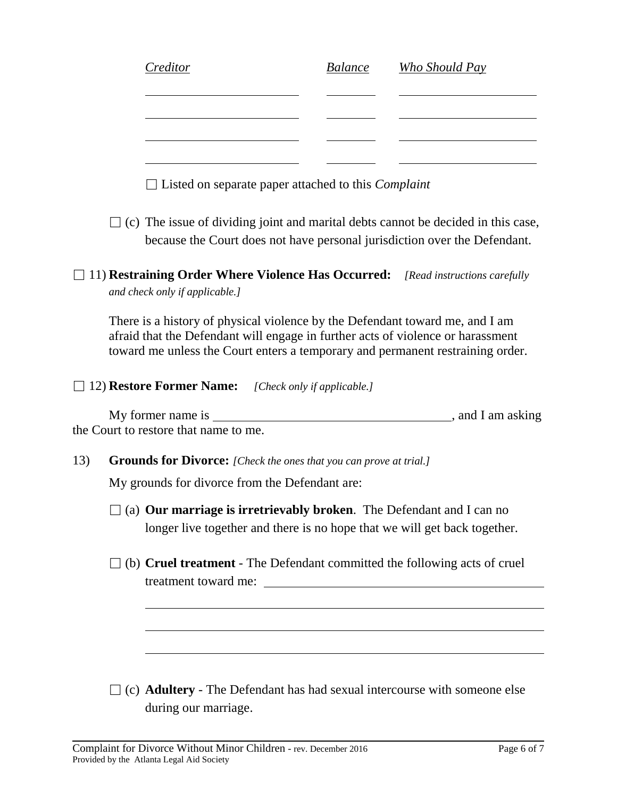|     |                                                                                                                                                                                                                                                   | Creditor                                                                                                                 | <i>Balance</i> | Who Should Pay |  |  |  |
|-----|---------------------------------------------------------------------------------------------------------------------------------------------------------------------------------------------------------------------------------------------------|--------------------------------------------------------------------------------------------------------------------------|----------------|----------------|--|--|--|
|     |                                                                                                                                                                                                                                                   |                                                                                                                          |                |                |  |  |  |
|     |                                                                                                                                                                                                                                                   |                                                                                                                          |                |                |  |  |  |
|     |                                                                                                                                                                                                                                                   |                                                                                                                          |                |                |  |  |  |
|     |                                                                                                                                                                                                                                                   | $\Box$ Listed on separate paper attached to this <i>Complaint</i>                                                        |                |                |  |  |  |
|     | $\Box$ (c) The issue of dividing joint and marital debts cannot be decided in this case,<br>because the Court does not have personal jurisdiction over the Defendant.                                                                             |                                                                                                                          |                |                |  |  |  |
|     |                                                                                                                                                                                                                                                   | 11) <b>Restraining Order Where Violence Has Occurred:</b> [Read instructions carefully<br>and check only if applicable.] |                |                |  |  |  |
|     | There is a history of physical violence by the Defendant toward me, and I am<br>afraid that the Defendant will engage in further acts of violence or harassment<br>toward me unless the Court enters a temporary and permanent restraining order. |                                                                                                                          |                |                |  |  |  |
|     |                                                                                                                                                                                                                                                   | 12) Restore Former Name: [Check only if applicable.]                                                                     |                |                |  |  |  |
|     |                                                                                                                                                                                                                                                   | the Court to restore that name to me.                                                                                    |                |                |  |  |  |
| 13) | <b>Grounds for Divorce:</b> [Check the ones that you can prove at trial.]                                                                                                                                                                         |                                                                                                                          |                |                |  |  |  |
|     | My grounds for divorce from the Defendant are:                                                                                                                                                                                                    |                                                                                                                          |                |                |  |  |  |
|     | $\Box$ (a) Our marriage is irretrievably broken. The Defendant and I can no<br>longer live together and there is no hope that we will get back together.                                                                                          |                                                                                                                          |                |                |  |  |  |
|     | $\exists$ (b) Cruel treatment - The Defendant committed the following acts of cruel<br>treatment toward me:                                                                                                                                       |                                                                                                                          |                |                |  |  |  |
|     |                                                                                                                                                                                                                                                   |                                                                                                                          |                |                |  |  |  |
|     |                                                                                                                                                                                                                                                   |                                                                                                                          |                |                |  |  |  |
|     |                                                                                                                                                                                                                                                   |                                                                                                                          |                |                |  |  |  |
|     |                                                                                                                                                                                                                                                   | (c) <b>Adultery</b> - The Defendant has had sexual intercourse with someone else                                         |                |                |  |  |  |

during our marriage.